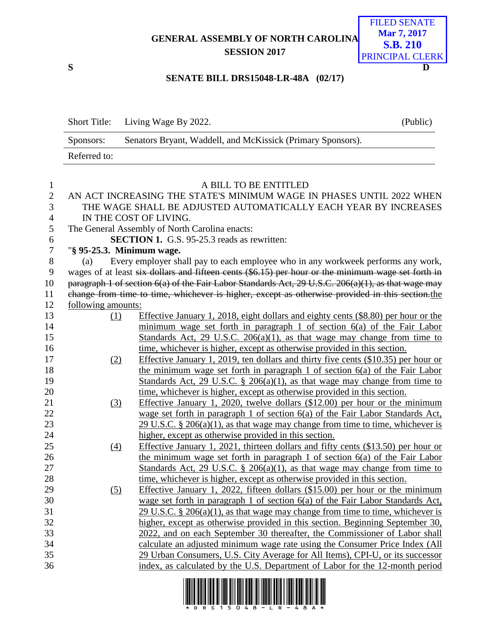**GENERAL ASSEMBLY OF NORTH CAROLINA SESSION 2017**



## **SENATE BILL DRS15048-LR-48A (02/17)**

Short Title: Living Wage By 2022. (Public)

|              | Senators Bryant, Waddell, and McKissick (Primary Sponsors).<br>Sponsors:                                                                                                                      |                                                                                                      |  |  |
|--------------|-----------------------------------------------------------------------------------------------------------------------------------------------------------------------------------------------|------------------------------------------------------------------------------------------------------|--|--|
|              | Referred to:                                                                                                                                                                                  |                                                                                                      |  |  |
|              |                                                                                                                                                                                               |                                                                                                      |  |  |
| $\mathbf{1}$ |                                                                                                                                                                                               | A BILL TO BE ENTITLED                                                                                |  |  |
| $\mathbf{2}$ | AN ACT INCREASING THE STATE'S MINIMUM WAGE IN PHASES UNTIL 2022 WHEN                                                                                                                          |                                                                                                      |  |  |
| 3            |                                                                                                                                                                                               | THE WAGE SHALL BE ADJUSTED AUTOMATICALLY EACH YEAR BY INCREASES                                      |  |  |
| 4            | IN THE COST OF LIVING.                                                                                                                                                                        |                                                                                                      |  |  |
| 5            | The General Assembly of North Carolina enacts:<br><b>SECTION 1.</b> G.S. 95-25.3 reads as rewritten:                                                                                          |                                                                                                      |  |  |
| 6<br>7       |                                                                                                                                                                                               |                                                                                                      |  |  |
| $8\,$        | "§ 95-25.3. Minimum wage.                                                                                                                                                                     |                                                                                                      |  |  |
| 9            | Every employer shall pay to each employee who in any workweek performs any work,<br>(a)<br>wages of at least six dollars and fifteen cents (\$6.15) per hour or the minimum wage set forth in |                                                                                                      |  |  |
| 10           |                                                                                                                                                                                               | paragraph 1 of section $6(a)$ of the Fair Labor Standards Act, 29 U.S.C. 206(a)(1), as that wage may |  |  |
| 11           |                                                                                                                                                                                               | change from time to time, whichever is higher, except as otherwise provided in this section.the      |  |  |
| 12           | following amounts:                                                                                                                                                                            |                                                                                                      |  |  |
| 13           | (1)                                                                                                                                                                                           | Effective January 1, 2018, eight dollars and eighty cents (\$8.80) per hour or the                   |  |  |
| 14           |                                                                                                                                                                                               | minimum wage set forth in paragraph $1$ of section $6(a)$ of the Fair Labor                          |  |  |
| 15           |                                                                                                                                                                                               | Standards Act, 29 U.S.C. $206(a)(1)$ , as that wage may change from time to                          |  |  |
| 16           |                                                                                                                                                                                               | time, whichever is higher, except as otherwise provided in this section.                             |  |  |
| 17           | (2)                                                                                                                                                                                           | Effective January 1, 2019, ten dollars and thirty five cents (\$10.35) per hour or                   |  |  |
| 18           |                                                                                                                                                                                               | the minimum wage set forth in paragraph $1$ of section $6(a)$ of the Fair Labor                      |  |  |
| 19           |                                                                                                                                                                                               | Standards Act, 29 U.S.C. § 206(a)(1), as that wage may change from time to                           |  |  |
| 20           |                                                                                                                                                                                               | time, whichever is higher, except as otherwise provided in this section.                             |  |  |
| 21           | (3)                                                                                                                                                                                           | Effective January 1, 2020, twelve dollars (\$12.00) per hour or the minimum                          |  |  |
| 22           |                                                                                                                                                                                               | wage set forth in paragraph 1 of section $6(a)$ of the Fair Labor Standards Act,                     |  |  |
| 23           |                                                                                                                                                                                               | $29$ U.S.C. § 206(a)(1), as that wage may change from time to time, whichever is                     |  |  |
| 24           |                                                                                                                                                                                               | higher, except as otherwise provided in this section.                                                |  |  |
| 25           | $\Delta$                                                                                                                                                                                      | Effective January 1, 2021, thirteen dollars and fifty cents (\$13.50) per hour or                    |  |  |
| 26           |                                                                                                                                                                                               | the minimum wage set forth in paragraph 1 of section 6(a) of the Fair Labor                          |  |  |
| 27           |                                                                                                                                                                                               | Standards Act, 29 U.S.C. $\S$ 206(a)(1), as that wage may change from time to                        |  |  |
| 28           |                                                                                                                                                                                               | time, whichever is higher, except as otherwise provided in this section.                             |  |  |
| 29           | (5)                                                                                                                                                                                           | Effective January 1, 2022, fifteen dollars $(\$15.00)$ per hour or the minimum                       |  |  |
| 30           |                                                                                                                                                                                               | wage set forth in paragraph 1 of section $6(a)$ of the Fair Labor Standards Act,                     |  |  |
| 31           |                                                                                                                                                                                               | 29 U.S.C. § 206(a)(1), as that wage may change from time to time, whichever is                       |  |  |
| 32           |                                                                                                                                                                                               | higher, except as otherwise provided in this section. Beginning September 30,                        |  |  |
| 33           |                                                                                                                                                                                               | 2022, and on each September 30 thereafter, the Commissioner of Labor shall                           |  |  |
| 34           |                                                                                                                                                                                               | calculate an adjusted minimum wage rate using the Consumer Price Index (All                          |  |  |
| 35           |                                                                                                                                                                                               | 29 Urban Consumers, U.S. City Average for All Items), CPI-U, or its successor                        |  |  |
| 36           |                                                                                                                                                                                               | index, as calculated by the U.S. Department of Labor for the 12-month period                         |  |  |
|              |                                                                                                                                                                                               |                                                                                                      |  |  |